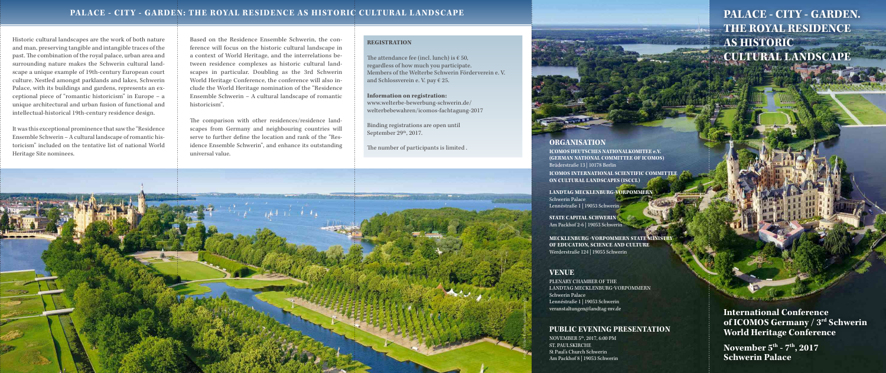Historic cultural landscapes are the work of both nature and man, preserving tangible and intangible traces of the past. The combination of the royal palace, urban area and surrounding nature makes the Schwerin cultural landscape a unique example of 19th-century European court culture. Nestled amongst parklands and lakes, Schwerin Palace, with its buildings and gardens, represents an exceptional piece of "romantic historicism" in Europe – a unique architectural and urban fusion of functional and intellectual-historical 19th-century residence design.

The attendance fee (incl. lunch) is  $\epsilon$  50, regardless of how much you participate. Members of the Welterbe Schwerin Förderverein e. V. and Schlossverein e. V. pay € 25.

Binding registrations are open until September  $29<sup>th</sup>$ , 2017.

It was this exceptional prominence that saw the "Residence Ensemble Schwerin – A cultural landscape of romantic historicism" included on the tentative list of national World Heritage Site nominees.

#### **REGISTRATION**

#### **Information on registration:**

www.welterbe-bewerbung-schwerin.de/ welterbebewahren/icomos-fachtagung-2017

The number of participants is limited .

Based on the Residence Ensemble Schwerin, the conference will focus on the historic cultural landscape in a context of World Heritage, and the interrelations between residence complexes as historic cultural landscapes in particular. Doubling as the 3rd Schwerin World Heritage Conference, the conference will also include the World Heritage nomination of the "Residence Ensemble Schwerin – A cultural landscape of romantic historicism".

The comparison with other residences/residence landscapes from Germany and neighbouring countries will serve to further define the location and rank of the "Residence Ensemble Schwerin", and enhance its outstanding universal value.

Fotos: Volker Koehn, erlebnis-mv.de

# **PALACE - CITY - GARDEN. THE ROYAL RESIDENCE AS HISTORIC CULTURAL LANDSCAPE**

**International Conference of ICOMOS Germany / 3rd Schwerin World Heritage Conference**

**November 5th - 7th, 2017 Schwerin Palace**

#### **ORGANISATION**

**ICOMOS DEUTSCHES NATIONALKOMITEE e.V. (GERMAN NATIONAL COMMITTEE OF ICOMOS)** Brüderstraße 13 | 10178 Berlin **ICOMOS INTERNATIONAL SCIENTIFIC COMMITTEE ON CULTURAL LANDSCAPES (ISCCL)**

**LANDTAG MECKLENBURG-VORPOMMERN**

Schwerin Palace Lennéstraße 1 | 19053 Schwerin

**STATE CAPITAL SCHWERIN** Am Packhof 2-6 | 19053 Schwerin

**MECKLENBURG -VORPOMMERN STATE MINISTRY OF EDUCATION, SCIENCE AND CULTURE** Werderstraße 124 | 19055 Schwerin

### **VENUE**

PLENARY CHAMBER OF THE LANDTAG MECKLENBURG-VORPOMMERN Schwerin Palace Lennéstraße 1 | 19053 Schwerin veranstaltungen@landtag-mv.de

# **PUBLIC EVENING PRESENTATION**

NOVEMBER 5th, 2017, 6:00 PM ST. PAULSKIRCHE St Paul's Church Schwerin Am Packhof 8 | 19053 Schwerin